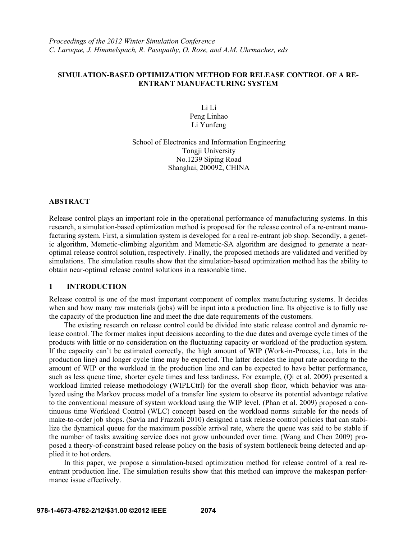## **SIMULATION-BASED OPTIMIZATION METHOD FOR RELEASE CONTROL OF A RE-ENTRANT MANUFACTURING SYSTEM**

Li Li Peng Linhao Li Yunfeng

School of Electronics and Information Engineering Tongii University No.1239 Siping Road Shanghai, 200092, CHINA

## **ABSTRACT**

Release control plays an important role in the operational performance of manufacturing systems. In this research, a simulation-based optimization method is proposed for the release control of a re-entrant manufacturing system. First, a simulation system is developed for a real re-entrant job shop. Secondly, a genetic algorithm, Memetic-climbing algorithm and Memetic-SA algorithm are designed to generate a nearoptimal release control solution, respectively. Finally, the proposed methods are validated and verified by simulations. The simulation results show that the simulation-based optimization method has the ability to obtain near-optimal release control solutions in a reasonable time.

## **1 INTRODUCTION**

Release control is one of the most important component of complex manufacturing systems. It decides when and how many raw materials (jobs) will be input into a production line. Its objective is to fully use the capacity of the production line and meet the due date requirements of the customers.

The existing research on release control could be divided into static release control and dynamic release control. The former makes input decisions according to the due dates and average cycle times of the products with little or no consideration on the fluctuating capacity or workload of the production system. If the capacity can't be estimated correctly, the high amount of WIP (Work-in-Process, i.e., lots in the production line) and longer cycle time may be expected. The latter decides the input rate according to the amount of WIP or the workload in the production line and can be expected to have better performance, such as less queue time, shorter cycle times and less tardiness. For example, (Qi et al. 2009) presented a workload limited release methodology (WIPLCtrl) for the overall shop floor, which behavior was analyzed using the Markov process model of a transfer line system to observe its potential advantage relative to the conventional measure of system workload using the WIP level. (Phan et al. 2009) proposed a continuous time Workload Control (WLC) concept based on the workload norms suitable for the needs of make-to-order job shops. (Savla and Frazzoli 2010) designed a task release control policies that can stabilize the dynamical queue for the maximum possible arrival rate, where the queue was said to be stable if the number of tasks awaiting service does not grow unbounded over time. (Wang and Chen 2009) proposed a theory-of-constraint based release policy on the basis of system bottleneck being detected and applied it to hot orders.

In this paper, we propose a simulation-based optimization method for release control of a real reentrant production line. The simulation results show that this method can improve the makespan performance issue effectively.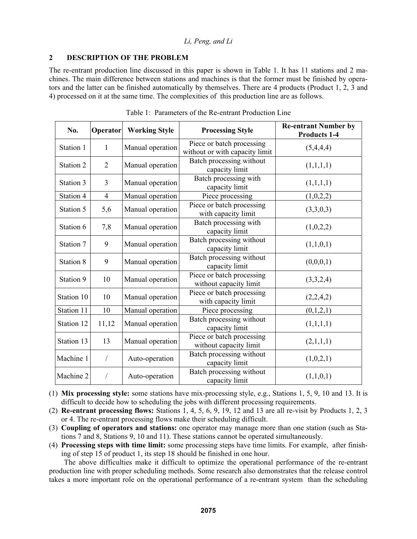### **2 DESCRIPTION OF THE PROBLEM**

The re-entrant production line discussed in this paper is shown in Table 1. It has 11 stations and 2 machines. The main difference between stations and machines is that the former must be finished by operators and the latter can be finished automatically by themselves. There are 4 products (Product 1, 2, 3 and 4) processed on it at the same time. The complexities of this production line are as follows.

| No.        | Operator       | <b>Working Style</b> | <b>Processing Style</b>                                     | <b>Re-entrant Number by</b><br><b>Products 1-4</b> |  |
|------------|----------------|----------------------|-------------------------------------------------------------|----------------------------------------------------|--|
| Station 1  | 1              | Manual operation     | Piece or batch processing<br>without or with capacity limit | (5,4,4,4)                                          |  |
| Station 2  | $\overline{2}$ | Manual operation     | Batch processing without<br>capacity limit                  | (1,1,1,1)                                          |  |
| Station 3  | $\overline{3}$ | Manual operation     | Batch processing with<br>capacity limit                     | (1,1,1,1)                                          |  |
| Station 4  | 4              | Manual operation     | Piece processing                                            | (1,0,2,2)                                          |  |
| Station 5  | 5,6            | Manual operation     | Piece or batch processing<br>with capacity limit            | (3,3,0,3)                                          |  |
| Station 6  | 7,8            | Manual operation     | Batch processing with<br>capacity limit                     | (1,0,2,2)                                          |  |
| Station 7  | 9              | Manual operation     | Batch processing without<br>capacity limit                  | (1,1,0,1)                                          |  |
| Station 8  | 9              | Manual operation     | Batch processing without<br>capacity limit                  | (0,0,0,1)                                          |  |
| Station 9  | 10             | Manual operation     | Piece or batch processing<br>without capacity limit         | (3,3,2,4)                                          |  |
| Station 10 | 10             | Manual operation     | Piece or batch processing<br>with capacity limit            | (2,2,4,2)                                          |  |
| Station 11 | 10             | Manual operation     | Piece processing                                            | (0,1,2,1)                                          |  |
| Station 12 | 11,12          | Manual operation     | Batch processing without<br>capacity limit                  | (1,1,1,1)                                          |  |
| Station 13 | 13             | Manual operation     | Piece or batch processing<br>without capacity limit         | (2,1,1,1)                                          |  |
| Machine 1  | $\overline{1}$ | Auto-operation       | Batch processing without<br>capacity limit                  | (1,0,2,1)                                          |  |
| Machine 2  |                | Auto-operation       | Batch processing without<br>capacity limit                  | (1,1,0,1)                                          |  |

|  | Table 1: Parameters of the Re-entrant Production Line |  |  |  |  |
|--|-------------------------------------------------------|--|--|--|--|
|--|-------------------------------------------------------|--|--|--|--|

(1) **Mix processing style:** some stations have mix-processing style, e.g., Stations 1, 5, 9, 10 and 13. It is difficult to decide how to scheduling the jobs with different processing requirements.

(2) **Re-entrant processing flows:** Stations 1, 4, 5, 6, 9, 19, 12 and 13 are all re-visit by Products 1, 2, 3 or 4. The re-entrant processing flows make their scheduling difficult.

- (3) **Coupling of operators and stations:** one operator may manage more than one station (such as Stations 7 and 8, Stations 9, 10 and 11). These stations cannot be operated simultaneously.
- (4) **Processing steps with time limit:** some processing steps have time limits. For example, after finishing of step 15 of product 1, its step 18 should be finished in one hour.

The above difficulties make it difficult to optimize the operational performance of the re-entrant production line with proper scheduling methods. Some research also demonstrates that the release control takes a more important role on the operational performance of a re-entrant system than the scheduling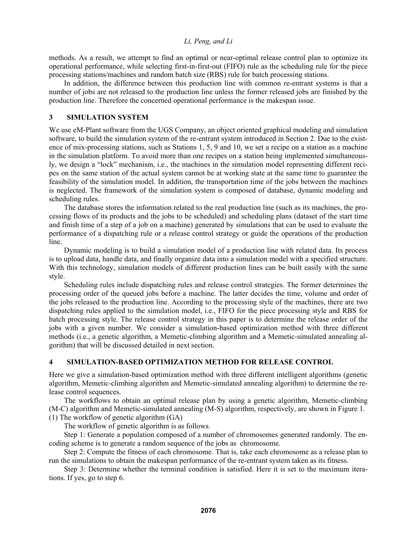methods. As a result, we attempt to find an optimal or near-optimal release control plan to optimize its operational performance, while selecting first-in-first-out (FIFO) rule as the scheduling rule for the piece processing stations/machines and random batch size (RBS) rule for batch processing stations.

In addition, the difference between this production line with common re-entrant systems is that a number of jobs are not released to the production line unless the former released jobs are finished by the production line. Therefore the concerned operational performance is the makespan issue.

### **3 SIMULATION SYSTEM**

We use eM-Plant software from the UGS Company, an object oriented graphical modeling and simulation software, to build the simulation system of the re-entrant system introduced in Section 2. Due to the existence of mix-processing stations, such as Stations 1, 5, 9 and 10, we set a recipe on a station as a machine in the simulation platform. To avoid more than one recipes on a station being implemented simultaneously, we design a "lock" mechanism, i.e., the machines in the simulation model representing different recipes on the same station of the actual system cannot be at working state at the same time to guarantee the feasibility of the simulation model. In addition, the transportation time of the jobs between the machines is neglected. The framework of the simulation system is composed of database, dynamic modeling and scheduling rules.

The database stores the information related to the real production line (such as its machines, the processing flows of its products and the jobs to be scheduled) and scheduling plans (dataset of the start time and finish time of a step of a job on a machine) generated by simulations that can be used to evaluate the performance of a dispatching rule or a release control strategy or guide the operations of the production line.

Dynamic modeling is to build a simulation model of a production line with related data. Its process is to upload data, handle data, and finally organize data into a simulation model with a specified structure. With this technology, simulation models of different production lines can be built easily with the same style.

Scheduling rules include dispatching rules and release control strategies. The former determines the processing order of the queued jobs before a machine. The latter decides the time, volume and order of the jobs released to the production line. According to the processing style of the machines, there are two dispatching rules applied to the simulation model, i.e., FIFO for the piece processing style and RBS for batch processing style. The release control strategy in this paper is to determine the release order of the jobs with a given number. We consider a simulation-based optimization method with three different methods (i.e., a genetic algorithm, a Memetic-climbing algorithm and a Memetic-simulated annealing algorithm) that will be discussed detailed in next section.

#### **4 SIMULATION-BASED OPTIMIZATION METHOD FOR RELEASE CONTROL**

Here we give a simulation-based optimization method with three different intelligent algorithms (genetic algorithm, Memetic-climbing algorithm and Memetic-simulated annealing algorithm) to determine the release control sequences.

The workflows to obtain an optimal release plan by using a genetic algorithm, Memetic-climbing (M-C) algorithm and Memetic-simulated annealing (M-S) algorithm, respectively, are shown in Figure 1. (1) The workflow of genetic algorithm (GA)

The workflow of genetic algorithm is as follows.

Step 1: Generate a population composed of a number of chromosomes generated randomly. The encoding scheme is to generate a random sequence of the jobs as chromosome.

Step 2: Compute the fitness of each chromosome. That is, take each chromosome as a release plan to run the simulations to obtain the makespan performance of the re-entrant system taken as its fitness.

Step 3: Determine whether the terminal condition is satisfied. Here it is set to the maximum iterations. If yes, go to step 6.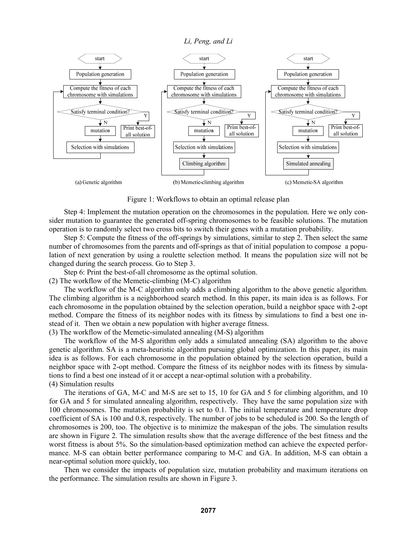

Figure 1: Workflows to obtain an optimal release plan

Step 4: Implement the mutation operation on the chromosomes in the population. Here we only consider mutation to guarantee the generated off-spring chromosomes to be feasible solutions. The mutation operation is to randomly select two cross bits to switch their genes with a mutation probability.

Step 5: Compute the fitness of the off-springs by simulations, similar to step 2. Then select the same number of chromosomes from the parents and off-springs as that of initial population to compose a population of next generation by using a roulette selection method. It means the population size will not be changed during the search process. Go to Step 3.

Step 6: Print the best-of-all chromosome as the optimal solution.

(2) The workflow of the Memetic-climbing (M-C) algorithm

The workflow of the M-C algorithm only adds a climbing algorithm to the above genetic algorithm. The climbing algorithm is a neighborhood search method. In this paper, its main idea is as follows. For each chromosome in the population obtained by the selection operation, build a neighbor space with 2-opt method. Compare the fitness of its neighbor nodes with its fitness by simulations to find a best one instead of it. Then we obtain a new population with higher average fitness.

(3) The workflow of the Memetic-simulated annealing (M-S) algorithm

The workflow of the M-S algorithm only adds a simulated annealing (SA) algorithm to the above genetic algorithm. SA is a meta-heuristic algorithm pursuing global optimization. In this paper, its main idea is as follows. For each chromosome in the population obtained by the selection operation, build a neighbor space with 2-opt method. Compare the fitness of its neighbor nodes with its fitness by simulations to find a best one instead of it or accept a near-optimal solution with a probability. (4) Simulation results

The iterations of GA, M-C and M-S are set to 15, 10 for GA and 5 for climbing algorithm, and 10 for GA and 5 for simulated annealing algorithm, respectively. They have the same population size with 100 chromosomes. The mutation probability is set to 0.1. The initial temperature and temperature drop coefficient of SA is 100 and 0.8, respectively. The number of jobs to be scheduled is 200. So the length of chromosomes is 200, too. The objective is to minimize the makespan of the jobs. The simulation results are shown in Figure 2. The simulation results show that the average difference of the best fitness and the worst fitness is about 5%. So the simulation-based optimization method can achieve the expected performance. M-S can obtain better performance comparing to M-C and GA. In addition, M-S can obtain a near-optimal solution more quickly, too.

Then we consider the impacts of population size, mutation probability and maximum iterations on the performance. The simulation results are shown in Figure 3.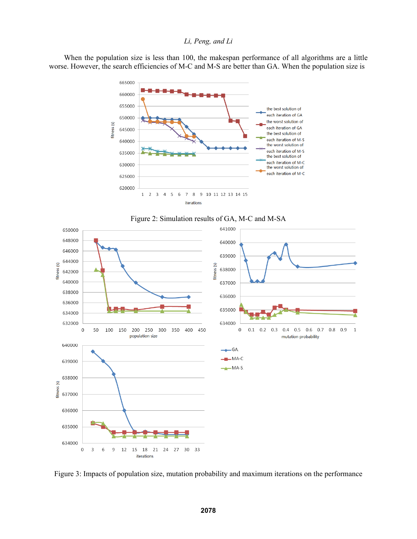When the population size is less than 100, the makespan performance of all algorithms are a little worse. However, the search efficiencies of M-C and M-S are better than GA. When the population size is







Figure 3: Impacts of population size, mutation probability and maximum iterations on the performance